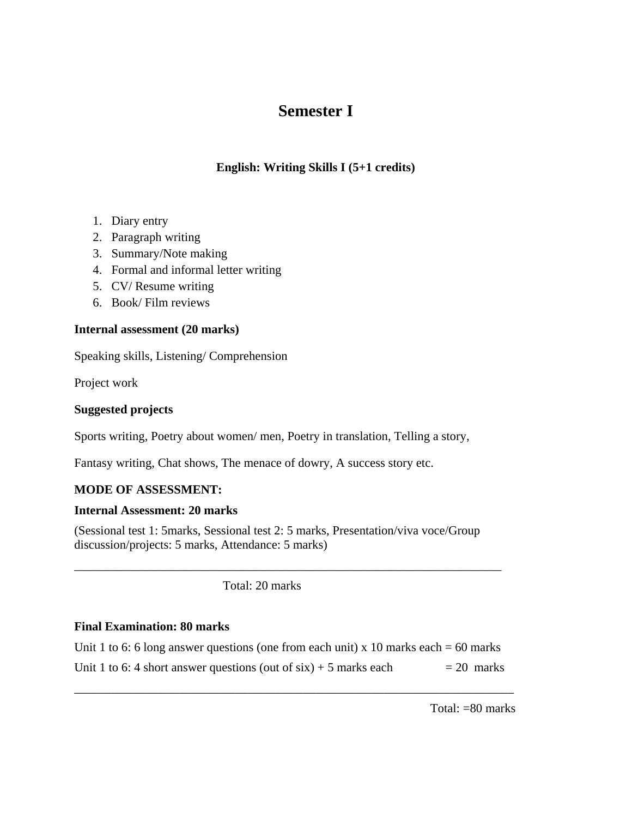# **Semester I**

## **English: Writing Skills I (5+1 credits)**

- 1. Diary entry
- 2. Paragraph writing
- 3. Summary/Note making
- 4. Formal and informal letter writing
- 5. CV/ Resume writing
- 6. Book/ Film reviews

## **Internal assessment (20 marks)**

Speaking skills, Listening/ Comprehension

Project work

## **Suggested projects**

Sports writing, Poetry about women/ men, Poetry in translation, Telling a story,

Fantasy writing, Chat shows, The menace of dowry, A success story etc.

## **MODE OF ASSESSMENT:**

#### **Internal Assessment: 20 marks**

(Sessional test 1: 5marks, Sessional test 2: 5 marks, Presentation/viva voce/Group discussion/projects: 5 marks, Attendance: 5 marks)

\_\_\_\_\_\_\_\_\_\_\_\_\_\_\_\_\_\_\_\_\_\_\_\_\_\_\_\_\_\_\_\_\_\_\_\_\_\_\_\_\_\_\_\_\_\_\_\_\_\_\_\_\_\_\_\_\_\_\_\_\_\_\_\_\_\_\_\_\_

Total: 20 marks

### **Final Examination: 80 marks**

| Unit 1 to 6: 6 long answer questions (one from each unit) x 10 marks each = 60 marks |              |
|--------------------------------------------------------------------------------------|--------------|
| Unit 1 to 6: 4 short answer questions (out of $six$ ) + 5 marks each                 | $= 20$ marks |

\_\_\_\_\_\_\_\_\_\_\_\_\_\_\_\_\_\_\_\_\_\_\_\_\_\_\_\_\_\_\_\_\_\_\_\_\_\_\_\_\_\_\_\_\_\_\_\_\_\_\_\_\_\_\_\_\_\_\_\_\_\_\_\_\_\_\_\_\_\_\_

Total: =80 marks